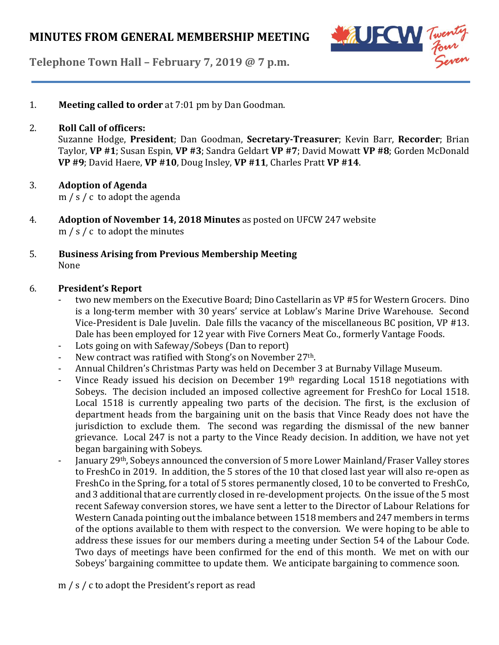

**Telephone Town Hall – February 7, 2019 @ 7 p.m.**

1. **Meeting called to order** at 7:01 pm by Dan Goodman.

### 2. **Roll Call of officers:**

Suzanne Hodge, **President**; Dan Goodman, **Secretary-Treasurer**; Kevin Barr, **Recorder**; Brian Taylor, **VP #1**; Susan Espin, **VP #3**; Sandra Geldart **VP #7**; David Mowatt **VP #8**; Gorden McDonald **VP #9**; David Haere, **VP #10**, Doug Insley, **VP #11**, Charles Pratt **VP #14**.

### 3. **Adoption of Agenda**

m / s / c to adopt the agenda

4. **Adoption of November 14, 2018 Minutes** as posted on UFCW 247 website m / s / c to adopt the minutes

### 5. **Business Arising from Previous Membership Meeting** None

#### 6. **President's Report**

- two new members on the Executive Board; Dino Castellarin as VP #5 for Western Grocers. Dino is a long-term member with 30 years' service at Loblaw's Marine Drive Warehouse. Second Vice-President is Dale Juvelin. Dale fills the vacancy of the miscellaneous BC position, VP #13. Dale has been employed for 12 year with Five Corners Meat Co., formerly Vantage Foods.
- Lots going on with Safeway/Sobeys (Dan to report)
- New contract was ratified with Stong's on November 27<sup>th</sup>.
- Annual Children's Christmas Party was held on December 3 at Burnaby Village Museum.
- Vince Ready issued his decision on December 19th regarding Local 1518 negotiations with Sobeys. The decision included an imposed collective agreement for FreshCo for Local 1518. Local 1518 is currently appealing two parts of the decision. The first, is the exclusion of department heads from the bargaining unit on the basis that Vince Ready does not have the jurisdiction to exclude them. The second was regarding the dismissal of the new banner grievance. Local 247 is not a party to the Vince Ready decision. In addition, we have not yet began bargaining with Sobeys.
- January 29<sup>th</sup>, Sobeys announced the conversion of 5 more Lower Mainland/Fraser Valley stores to FreshCo in 2019. In addition, the 5 stores of the 10 that closed last year will also re-open as FreshCo in the Spring, for a total of 5 stores permanently closed, 10 to be converted to FreshCo, and 3 additional that are currently closed in re-development projects. On the issue of the 5 most recent Safeway conversion stores, we have sent a letter to the Director of Labour Relations for Western Canada pointing out the imbalance between 1518 members and 247 members in terms of the options available to them with respect to the conversion. We were hoping to be able to address these issues for our members during a meeting under Section 54 of the Labour Code. Two days of meetings have been confirmed for the end of this month. We met on with our Sobeys' bargaining committee to update them. We anticipate bargaining to commence soon.
- m / s / c to adopt the President's report as read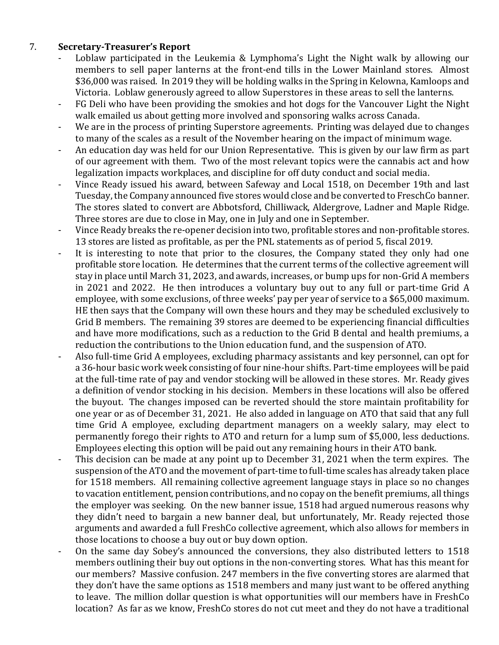### 7. **Secretary-Treasurer's Report**

- Loblaw participated in the Leukemia & Lymphoma's Light the Night walk by allowing our members to sell paper lanterns at the front-end tills in the Lower Mainland stores. Almost \$36,000 was raised. In 2019 they will be holding walks in the Spring in Kelowna, Kamloops and Victoria. Loblaw generously agreed to allow Superstores in these areas to sell the lanterns.
- FG Deli who have been providing the smokies and hot dogs for the Vancouver Light the Night walk emailed us about getting more involved and sponsoring walks across Canada.
- We are in the process of printing Superstore agreements. Printing was delayed due to changes to many of the scales as a result of the November hearing on the impact of minimum wage.
- An education day was held for our Union Representative. This is given by our law firm as part of our agreement with them. Two of the most relevant topics were the cannabis act and how legalization impacts workplaces, and discipline for off duty conduct and social media.
- Vince Ready issued his award, between Safeway and Local 1518, on December 19th and last Tuesday, the Company announced five stores would close and be converted to FreschCo banner. The stores slated to convert are Abbotsford, Chilliwack, Aldergrove, Ladner and Maple Ridge. Three stores are due to close in May, one in July and one in September.
- Vince Ready breaks the re-opener decision into two, profitable stores and non-profitable stores. 13 stores are listed as profitable, as per the PNL statements as of period 5, fiscal 2019.
- It is interesting to note that prior to the closures, the Company stated they only had one profitable store location. He determines that the current terms of the collective agreement will stay in place until March 31, 2023, and awards, increases, or bump ups for non-Grid A members in 2021 and 2022. He then introduces a voluntary buy out to any full or part-time Grid A employee, with some exclusions, of three weeks' pay per year of service to a \$65,000 maximum. HE then says that the Company will own these hours and they may be scheduled exclusively to Grid B members. The remaining 39 stores are deemed to be experiencing financial difficulties and have more modifications, such as a reduction to the Grid B dental and health premiums, a reduction the contributions to the Union education fund, and the suspension of ATO.
- Also full-time Grid A employees, excluding pharmacy assistants and key personnel, can opt for a 36-hour basic work week consisting of four nine-hour shifts. Part-time employees will be paid at the full-time rate of pay and vendor stocking will be allowed in these stores. Mr. Ready gives a definition of vendor stocking in his decision. Members in these locations will also be offered the buyout. The changes imposed can be reverted should the store maintain profitability for one year or as of December 31, 2021. He also added in language on ATO that said that any full time Grid A employee, excluding department managers on a weekly salary, may elect to permanently forego their rights to ATO and return for a lump sum of \$5,000, less deductions. Employees electing this option will be paid out any remaining hours in their ATO bank.
- This decision can be made at any point up to December 31, 2021 when the term expires. The suspension ofthe ATO and the movement of part-time to full-time scales has already taken place for 1518 members. All remaining collective agreement language stays in place so no changes to vacation entitlement, pension contributions, and no copay on the benefit premiums, all things the employer was seeking. On the new banner issue, 1518 had argued numerous reasons why they didn't need to bargain a new banner deal, but unfortunately, Mr. Ready rejected those arguments and awarded a full FreshCo collective agreement, which also allows for members in those locations to choose a buy out or buy down option.
- On the same day Sobey's announced the conversions, they also distributed letters to 1518 members outlining their buy out options in the non-converting stores. What has this meant for our members? Massive confusion. 247 members in the five converting stores are alarmed that they don't have the same options as 1518 members and many just want to be offered anything to leave. The million dollar question is what opportunities will our members have in FreshCo location? As far as we know, FreshCo stores do not cut meet and they do not have a traditional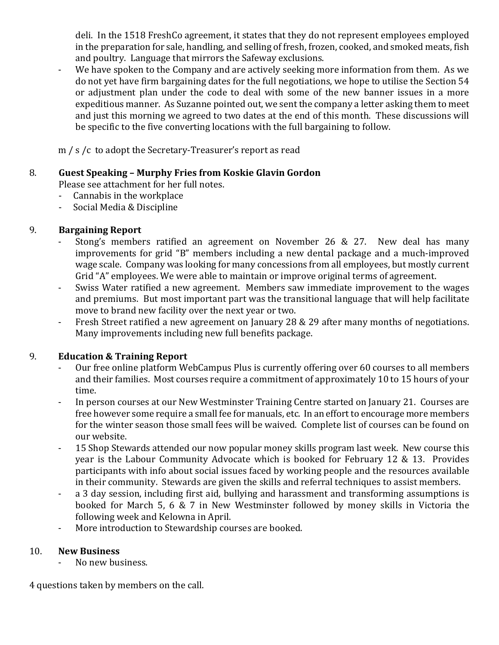deli. In the 1518 FreshCo agreement, it states that they do not represent employees employed in the preparation for sale, handling, and selling of fresh, frozen, cooked, and smoked meats, fish and poultry. Language that mirrors the Safeway exclusions.

We have spoken to the Company and are actively seeking more information from them. As we do not yet have firm bargaining dates for the full negotiations, we hope to utilise the Section 54 or adjustment plan under the code to deal with some of the new banner issues in a more expeditious manner. As Suzanne pointed out, we sent the company a letter asking them to meet and just this morning we agreed to two dates at the end of this month. These discussions will be specific to the five converting locations with the full bargaining to follow.

m / s /c to adopt the Secretary-Treasurer's report as read

### 8. **Guest Speaking – Murphy Fries from Koskie Glavin Gordon**

Please see attachment for her full notes.

- Cannabis in the workplace
- Social Media & Discipline

## 9. **Bargaining Report**

- Stong's members ratified an agreement on November 26 & 27. New deal has many improvements for grid "B" members including a new dental package and a much-improved wage scale. Company was looking for many concessions from all employees, but mostly current Grid "A" employees. We were able to maintain or improve original terms of agreement.
- Swiss Water ratified a new agreement. Members saw immediate improvement to the wages and premiums. But most important part was the transitional language that will help facilitate move to brand new facility over the next year or two.
- Fresh Street ratified a new agreement on January 28 & 29 after many months of negotiations. Many improvements including new full benefits package.

## 9. **Education & Training Report**

- Our free online platform WebCampus Plus is currently offering over 60 courses to all members and their families. Most courses require a commitment of approximately 10 to 15 hours of your time.
- In person courses at our New Westminster Training Centre started on January 21. Courses are free however some require a small fee for manuals, etc. In an effort to encourage more members for the winter season those small fees will be waived. Complete list of courses can be found on our website.
- 15 Shop Stewards attended our now popular money skills program last week. New course this year is the Labour Community Advocate which is booked for February 12 & 13. Provides participants with info about social issues faced by working people and the resources available in their community. Stewards are given the skills and referral techniques to assist members.
- a 3 day session, including first aid, bullying and harassment and transforming assumptions is booked for March 5, 6 & 7 in New Westminster followed by money skills in Victoria the following week and Kelowna in April.
- More introduction to Stewardship courses are booked.

### 10. **New Business**

No new business.

4 questions taken by members on the call.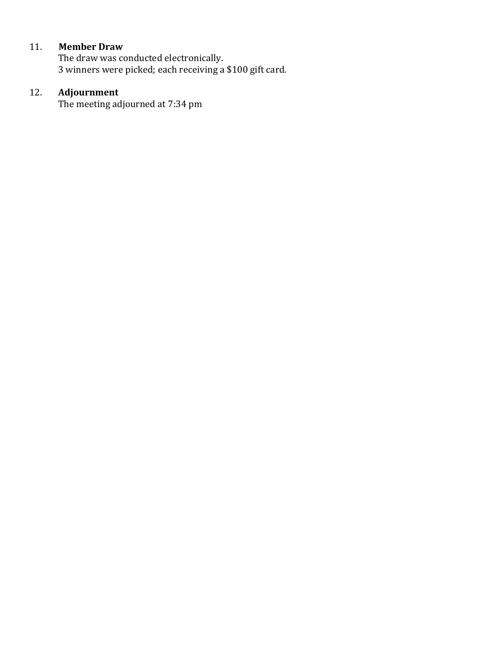# 11. **Member Draw**

The draw was conducted electronically. 3 winners were picked; each receiving a \$100 gift card.

## 12. **Adjournment**

The meeting adjourned at 7:34 pm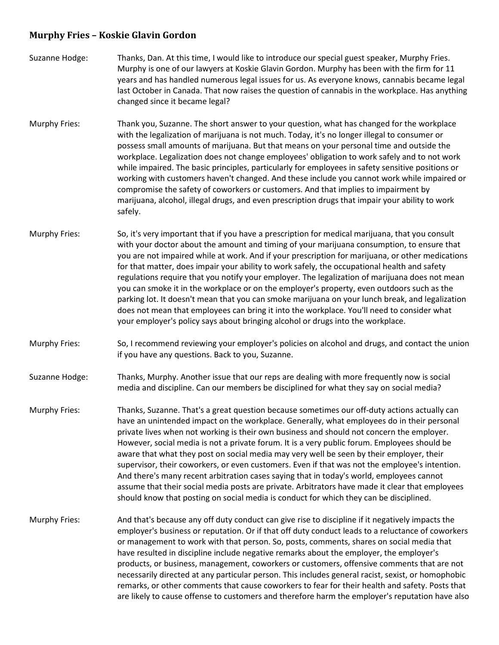#### **Murphy Fries – Koskie Glavin Gordon**

- Suzanne Hodge: Thanks, Dan. At this time, I would like to introduce our special guest speaker, Murphy Fries. Murphy is one of our lawyers at Koskie Glavin Gordon. Murphy has been with the firm for 11 years and has handled numerous legal issues for us. As everyone knows, cannabis became legal last October in Canada. That now raises the question of cannabis in the workplace. Has anything changed since it became legal?
- Murphy Fries: Thank you, Suzanne. The short answer to your question, what has changed for the workplace with the legalization of marijuana is not much. Today, it's no longer illegal to consumer or possess small amounts of marijuana. But that means on your personal time and outside the workplace. Legalization does not change employees' obligation to work safely and to not work while impaired. The basic principles, particularly for employees in safety sensitive positions or working with customers haven't changed. And these include you cannot work while impaired or compromise the safety of coworkers or customers. And that implies to impairment by marijuana, alcohol, illegal drugs, and even prescription drugs that impair your ability to work safely.
- Murphy Fries: So, it's very important that if you have a prescription for medical marijuana, that you consult with your doctor about the amount and timing of your marijuana consumption, to ensure that you are not impaired while at work. And if your prescription for marijuana, or other medications for that matter, does impair your ability to work safely, the occupational health and safety regulations require that you notify your employer. The legalization of marijuana does not mean you can smoke it in the workplace or on the employer's property, even outdoors such as the parking lot. It doesn't mean that you can smoke marijuana on your lunch break, and legalization does not mean that employees can bring it into the workplace. You'll need to consider what your employer's policy says about bringing alcohol or drugs into the workplace.
- Murphy Fries: So, I recommend reviewing your employer's policies on alcohol and drugs, and contact the union if you have any questions. Back to you, Suzanne.
- Suzanne Hodge: Thanks, Murphy. Another issue that our reps are dealing with more frequently now is social media and discipline. Can our members be disciplined for what they say on social media?
- Murphy Fries: Thanks, Suzanne. That's a great question because sometimes our off-duty actions actually can have an unintended impact on the workplace. Generally, what employees do in their personal private lives when not working is their own business and should not concern the employer. However, social media is not a private forum. It is a very public forum. Employees should be aware that what they post on social media may very well be seen by their employer, their supervisor, their coworkers, or even customers. Even if that was not the employee's intention. And there's many recent arbitration cases saying that in today's world, employees cannot assume that their social media posts are private. Arbitrators have made it clear that employees should know that posting on social media is conduct for which they can be disciplined.
- Murphy Fries: And that's because any off duty conduct can give rise to discipline if it negatively impacts the employer's business or reputation. Or if that off duty conduct leads to a reluctance of coworkers or management to work with that person. So, posts, comments, shares on social media that have resulted in discipline include negative remarks about the employer, the employer's products, or business, management, coworkers or customers, offensive comments that are not necessarily directed at any particular person. This includes general racist, sexist, or homophobic remarks, or other comments that cause coworkers to fear for their health and safety. Posts that are likely to cause offense to customers and therefore harm the employer's reputation have also